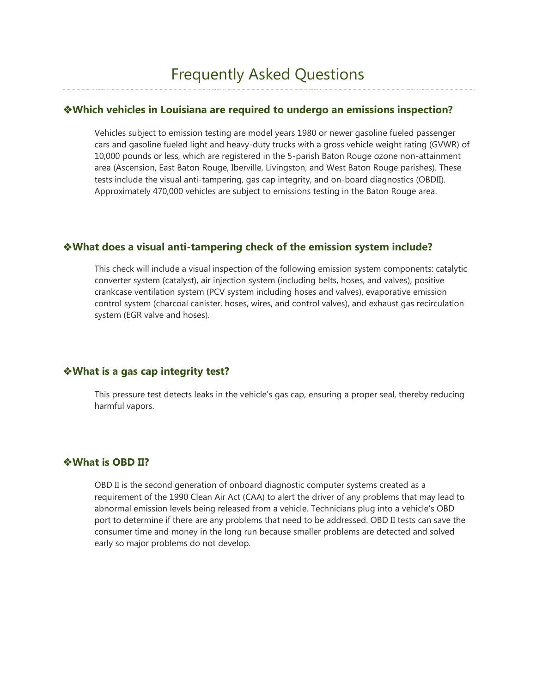### **Which vehicles in Louisiana are required to undergo an emissions inspection?**

Vehicles subject to emission testing are model years 1980 or newer gasoline fueled passenger cars and gasoline fueled light and heavy-duty trucks with a gross vehicle weight rating (GVWR) of 10,000 pounds or less, which are registered in the 5-parish Baton Rouge ozone non-attainment area (Ascension, East Baton Rouge, Iberville, Livingston, and West Baton Rouge parishes). These tests include the visual anti-tampering, gas cap integrity, and on-board diagnostics (OBDII). Approximately 470,000 vehicles are subject to emissions testing in the Baton Rouge area.

### **What does a visual anti-tampering check of the emission system include?**

This check will include a visual inspection of the following emission system components: catalytic converter system (catalyst), air injection system (including belts, hoses, and valves), positive crankcase ventilation system (PCV system including hoses and valves), evaporative emission control system (charcoal canister, hoses, wires, and control valves), and exhaust gas recirculation system (EGR valve and hoses).

### **What is a gas cap integrity test?**

This pressure test detects leaks in the vehicle's gas cap, ensuring a proper seal, thereby reducing harmful vapors.

### **What is OBD II?**

OBD II is the second generation of onboard diagnostic computer systems created as a requirement of the 1990 Clean Air Act (CAA) to alert the driver of any problems that may lead to abnormal emission levels being released from a vehicle. Technicians plug into a vehicle's OBD port to determine if there are any problems that need to be addressed. OBD II tests can save the consumer time and money in the long run because smaller problems are detected and solved early so major problems do not develop.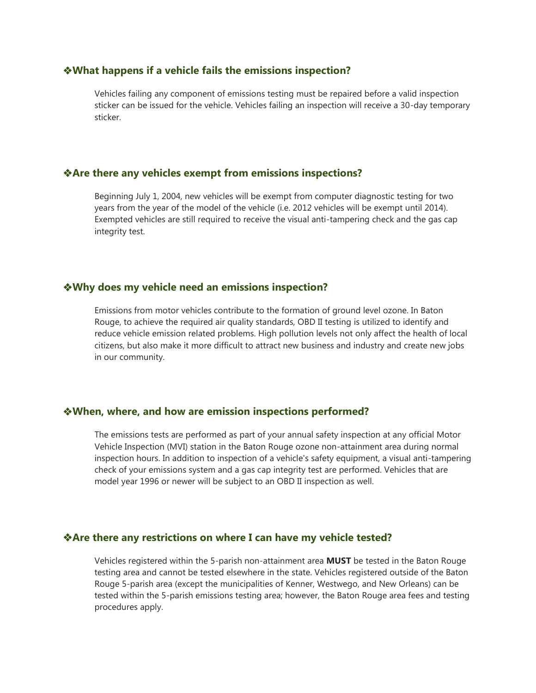#### **What happens if a vehicle fails the emissions inspection?**

Vehicles failing any component of emissions testing must be repaired before a valid inspection sticker can be issued for the vehicle. Vehicles failing an inspection will receive a 30-day temporary sticker.

### **Are there any vehicles exempt from emissions inspections?**

Beginning July 1, 2004, new vehicles will be exempt from computer diagnostic testing for two years from the year of the model of the vehicle (i.e. 2012 vehicles will be exempt until 2014). Exempted vehicles are still required to receive the visual anti-tampering check and the gas cap integrity test.

#### **Why does my vehicle need an emissions inspection?**

Emissions from motor vehicles contribute to the formation of ground level ozone. In Baton Rouge, to achieve the required air quality standards, OBD II testing is utilized to identify and reduce vehicle emission related problems. High pollution levels not only affect the health of local citizens, but also make it more difficult to attract new business and industry and create new jobs in our community.

#### **When, where, and how are emission inspections performed?**

The emissions tests are performed as part of your annual safety inspection at any official Motor Vehicle Inspection (MVI) station in the Baton Rouge ozone non-attainment area during normal inspection hours. In addition to inspection of a vehicle's safety equipment, a visual anti-tampering check of your emissions system and a gas cap integrity test are performed. Vehicles that are model year 1996 or newer will be subject to an OBD II inspection as well.

#### **Are there any restrictions on where I can have my vehicle tested?**

Vehicles registered within the 5-parish non-attainment area **MUST** be tested in the Baton Rouge testing area and cannot be tested elsewhere in the state. Vehicles registered outside of the Baton Rouge 5-parish area (except the municipalities of Kenner, Westwego, and New Orleans) can be tested within the 5-parish emissions testing area; however, the Baton Rouge area fees and testing procedures apply.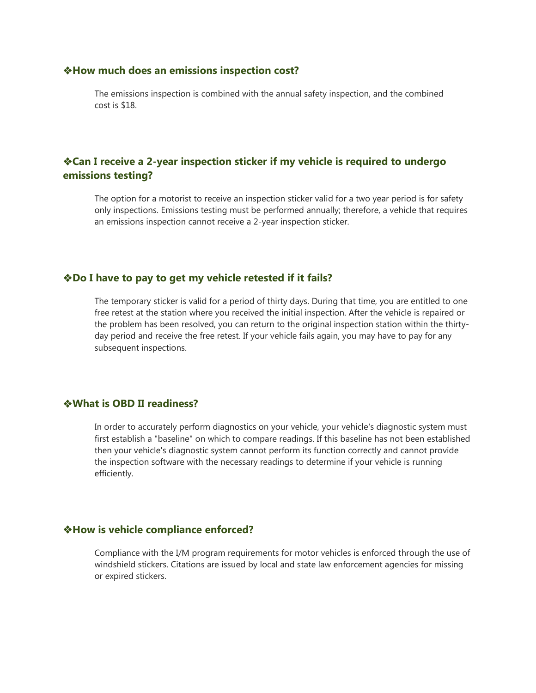#### **How much does an emissions inspection cost?**

The emissions inspection is combined with the annual safety inspection, and the combined cost is \$18.

## **Can I receive a 2-year inspection sticker if my vehicle is required to undergo emissions testing?**

The option for a motorist to receive an inspection sticker valid for a two year period is for safety only inspections. Emissions testing must be performed annually; therefore, a vehicle that requires an emissions inspection cannot receive a 2-year inspection sticker.

### **Do I have to pay to get my vehicle retested if it fails?**

The temporary sticker is valid for a period of thirty days. During that time, you are entitled to one free retest at the station where you received the initial inspection. After the vehicle is repaired or the problem has been resolved, you can return to the original inspection station within the thirtyday period and receive the free retest. If your vehicle fails again, you may have to pay for any subsequent inspections.

### **What is OBD II readiness?**

In order to accurately perform diagnostics on your vehicle, your vehicle's diagnostic system must first establish a "baseline" on which to compare readings. If this baseline has not been established then your vehicle's diagnostic system cannot perform its function correctly and cannot provide the inspection software with the necessary readings to determine if your vehicle is running efficiently.

### **How is vehicle compliance enforced?**

Compliance with the I/M program requirements for motor vehicles is enforced through the use of windshield stickers. Citations are issued by local and state law enforcement agencies for missing or expired stickers.